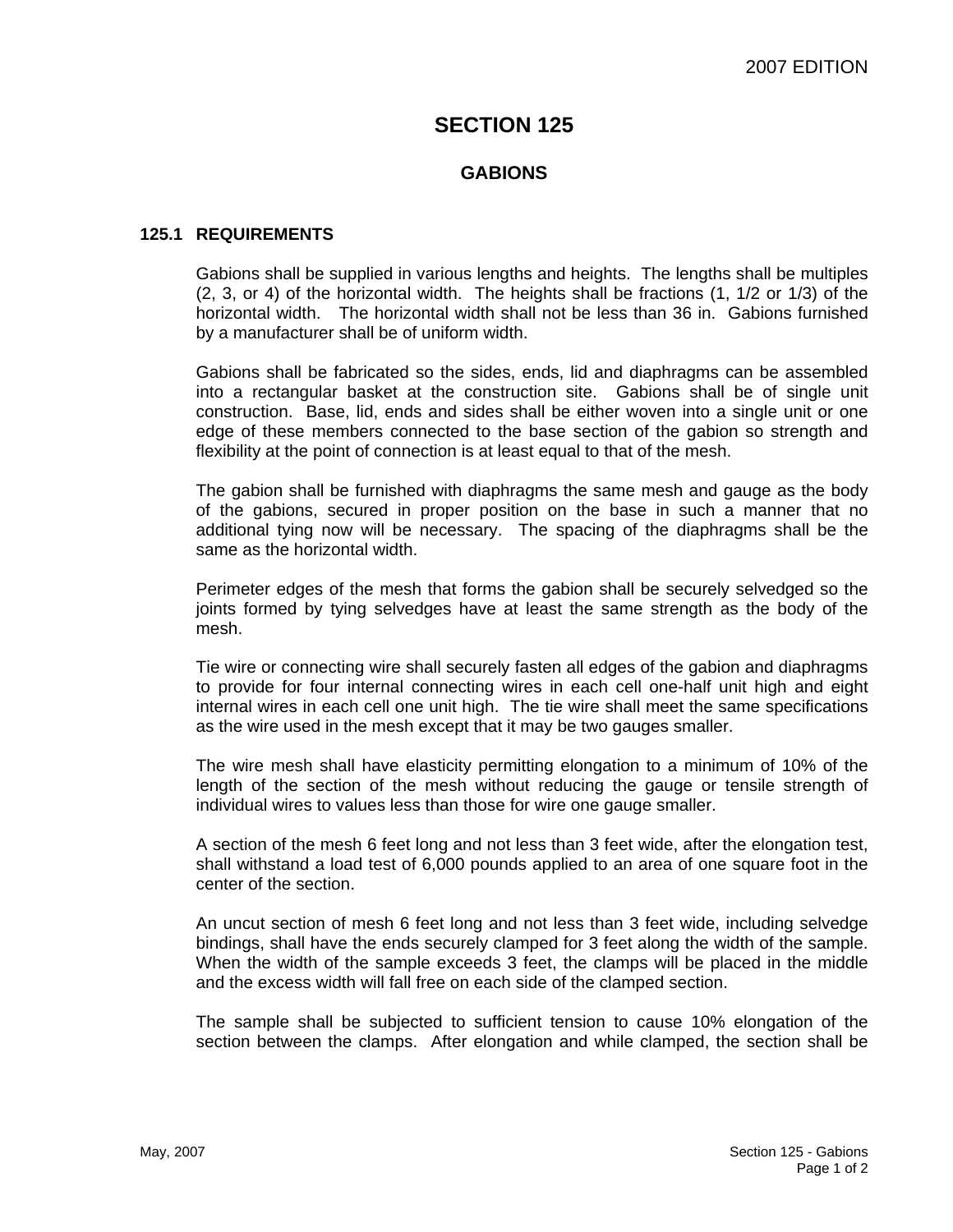# **SECTION 125**

### **GABIONS**

### **125.1 REQUIREMENTS**

Gabions shall be supplied in various lengths and heights. The lengths shall be multiples (2, 3, or 4) of the horizontal width. The heights shall be fractions (1, 1/2 or 1/3) of the horizontal width. The horizontal width shall not be less than 36 in. Gabions furnished by a manufacturer shall be of uniform width.

Gabions shall be fabricated so the sides, ends, lid and diaphragms can be assembled into a rectangular basket at the construction site. Gabions shall be of single unit construction. Base, lid, ends and sides shall be either woven into a single unit or one edge of these members connected to the base section of the gabion so strength and flexibility at the point of connection is at least equal to that of the mesh.

The gabion shall be furnished with diaphragms the same mesh and gauge as the body of the gabions, secured in proper position on the base in such a manner that no additional tying now will be necessary. The spacing of the diaphragms shall be the same as the horizontal width.

Perimeter edges of the mesh that forms the gabion shall be securely selvedged so the joints formed by tying selvedges have at least the same strength as the body of the mesh.

Tie wire or connecting wire shall securely fasten all edges of the gabion and diaphragms to provide for four internal connecting wires in each cell one-half unit high and eight internal wires in each cell one unit high. The tie wire shall meet the same specifications as the wire used in the mesh except that it may be two gauges smaller.

The wire mesh shall have elasticity permitting elongation to a minimum of 10% of the length of the section of the mesh without reducing the gauge or tensile strength of individual wires to values less than those for wire one gauge smaller.

A section of the mesh 6 feet long and not less than 3 feet wide, after the elongation test, shall withstand a load test of 6,000 pounds applied to an area of one square foot in the center of the section.

An uncut section of mesh 6 feet long and not less than 3 feet wide, including selvedge bindings, shall have the ends securely clamped for 3 feet along the width of the sample. When the width of the sample exceeds 3 feet, the clamps will be placed in the middle and the excess width will fall free on each side of the clamped section.

The sample shall be subjected to sufficient tension to cause 10% elongation of the section between the clamps. After elongation and while clamped, the section shall be